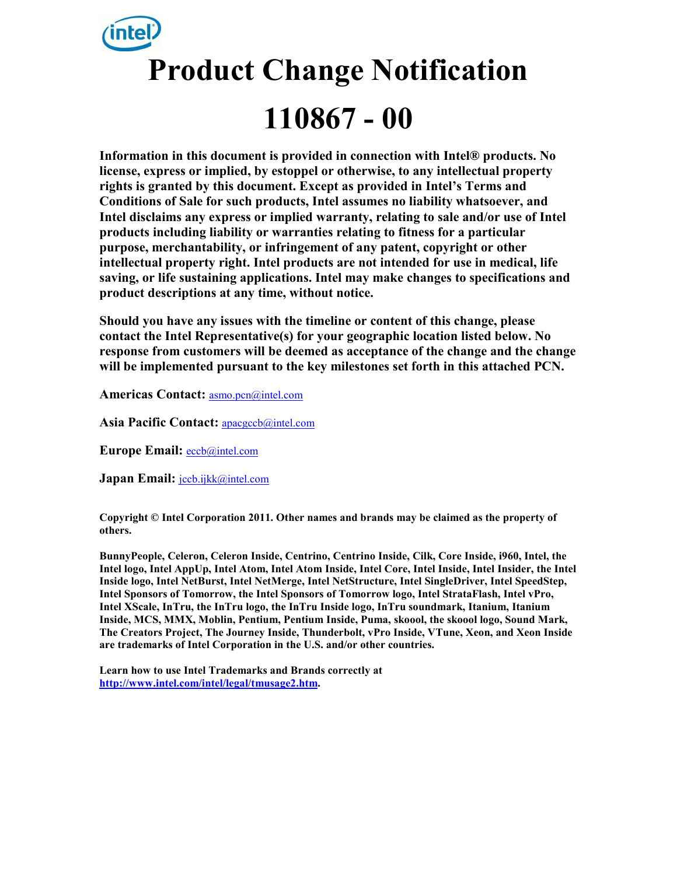# **Product Change Notification 110867 - 00**

**Information in this document is provided in connection with Intel® products. No license, express or implied, by estoppel or otherwise, to any intellectual property rights is granted by this document. Except as provided in Intel's Terms and Conditions of Sale for such products, Intel assumes no liability whatsoever, and Intel disclaims any express or implied warranty, relating to sale and/or use of Intel products including liability or warranties relating to fitness for a particular purpose, merchantability, or infringement of any patent, copyright or other intellectual property right. Intel products are not intended for use in medical, life saving, or life sustaining applications. Intel may make changes to specifications and product descriptions at any time, without notice.** 

**Should you have any issues with the timeline or content of this change, please contact the Intel Representative(s) for your geographic location listed below. No response from customers will be deemed as acceptance of the change and the change will be implemented pursuant to the key milestones set forth in this attached PCN.** 

**Americas Contact:** asmo.pcn@intel.com

**Asia Pacific Contact:** apacgccb@intel.com

**Europe Email:** eccb@intel.com

Japan Email: **jccb.ijkk@intel.com** 

**Copyright © Intel Corporation 2011. Other names and brands may be claimed as the property of others.**

**BunnyPeople, Celeron, Celeron Inside, Centrino, Centrino Inside, Cilk, Core Inside, i960, Intel, the Intel logo, Intel AppUp, Intel Atom, Intel Atom Inside, Intel Core, Intel Inside, Intel Insider, the Intel Inside logo, Intel NetBurst, Intel NetMerge, Intel NetStructure, Intel SingleDriver, Intel SpeedStep, Intel Sponsors of Tomorrow, the Intel Sponsors of Tomorrow logo, Intel StrataFlash, Intel vPro, Intel XScale, InTru, the InTru logo, the InTru Inside logo, InTru soundmark, Itanium, Itanium Inside, MCS, MMX, Moblin, Pentium, Pentium Inside, Puma, skoool, the skoool logo, Sound Mark, The Creators Project, The Journey Inside, Thunderbolt, vPro Inside, VTune, Xeon, and Xeon Inside are trademarks of Intel Corporation in the U.S. and/or other countries.** 

**Learn how to use Intel Trademarks and Brands correctly at http://www.intel.com/intel/legal/tmusage2.htm.**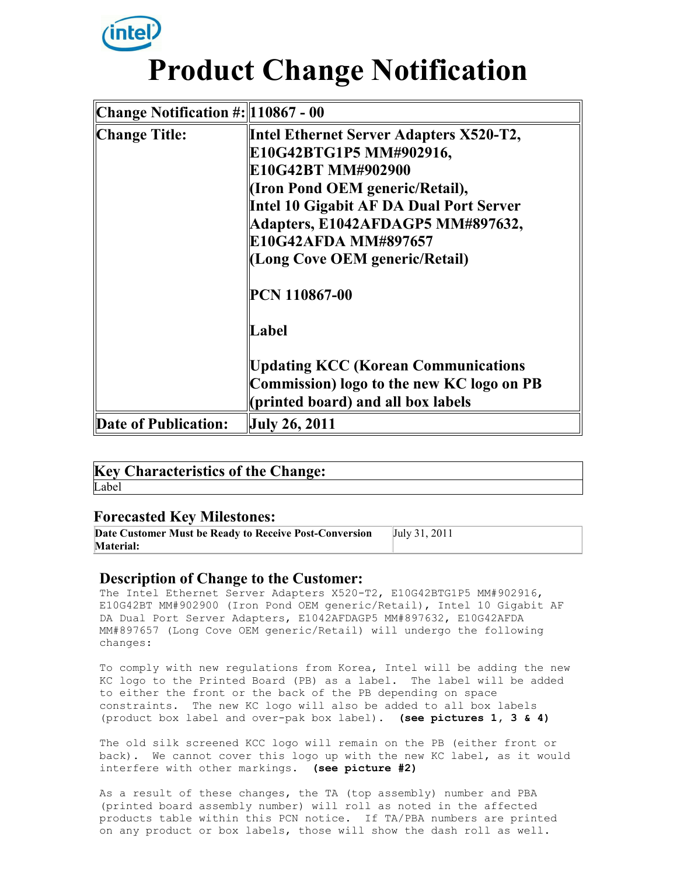

# **Product Change Notification**

| Change Notification $\#:\ 110867 - 00\ $ |                                                                                                                                                                                                                                                                                       |
|------------------------------------------|---------------------------------------------------------------------------------------------------------------------------------------------------------------------------------------------------------------------------------------------------------------------------------------|
| Change Title:                            | <b>Intel Ethernet Server Adapters X520-T2,</b><br>E10G42BTG1P5 MM#902916,<br>E10G42BT MM#902900<br><b>If Iron Pond OEM generic/Retail),</b><br>Intel 10 Gigabit AF DA Dual Port Server<br>Adapters, E1042AFDAGP5 MM#897632,<br>E10G42AFDA MM#897657<br>(Long Cove OEM generic/Retail) |
|                                          | PCN 110867-00<br>Label<br><b>Updating KCC (Korean Communications</b><br>Commission) logo to the new KC logo on PB                                                                                                                                                                     |
|                                          | (printed board) and all box labels                                                                                                                                                                                                                                                    |
| Date of Publication:                     | July 26, 2011                                                                                                                                                                                                                                                                         |

|       | <b>Key Characteristics of the Change:</b> |  |  |
|-------|-------------------------------------------|--|--|
| Label |                                           |  |  |

### **Forecasted Key Milestones:**

| Date Customer Must be Ready to Receive Post-Conversion | July 31, 2011 |
|--------------------------------------------------------|---------------|
| <b>Material:</b>                                       |               |

### **Description of Change to the Customer:**

The Intel Ethernet Server Adapters X520-T2, E10G42BTG1P5 MM#902916, E10G42BT MM#902900 (Iron Pond OEM generic/Retail), Intel 10 Gigabit AF DA Dual Port Server Adapters, E1042AFDAGP5 MM#897632, E10G42AFDA MM#897657 (Long Cove OEM generic/Retail) will undergo the following changes:

To comply with new regulations from Korea, Intel will be adding the new KC logo to the Printed Board (PB) as a label. The label will be added to either the front or the back of the PB depending on space constraints. The new KC logo will also be added to all box labels (product box label and over-pak box label). **(see pictures 1, 3 & 4)**

The old silk screened KCC logo will remain on the PB (either front or back). We cannot cover this logo up with the new KC label, as it would interfere with other markings. **(see picture #2)**

As a result of these changes, the TA (top assembly) number and PBA (printed board assembly number) will roll as noted in the affected products table within this PCN notice. If TA/PBA numbers are printed on any product or box labels, those will show the dash roll as well.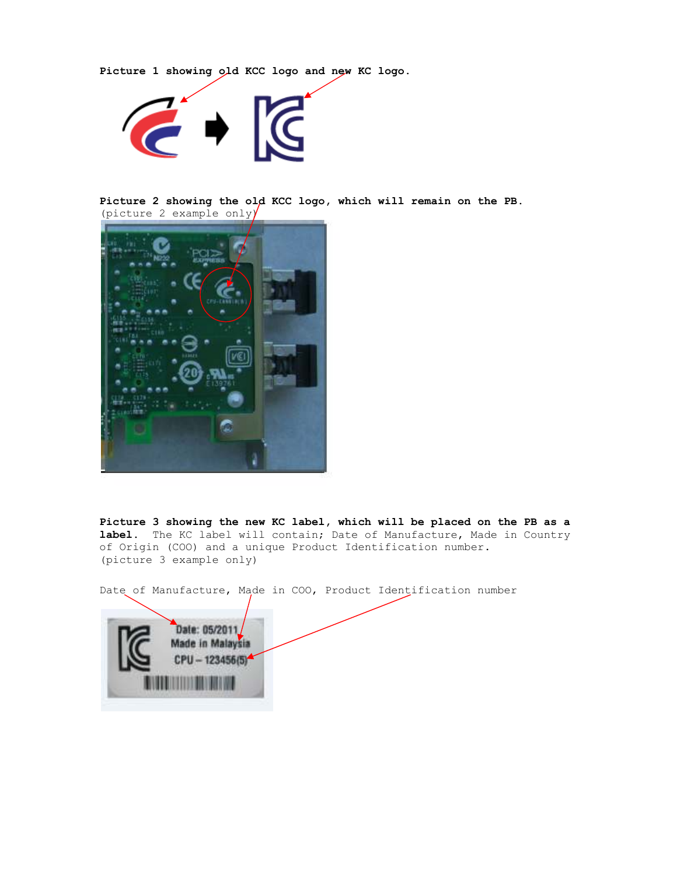**Picture 1 showing old KCC logo and new KC logo.** 



**Picture 2 showing the old KCC logo, which will remain on the PB.**  (picture 2 example only)



**Picture 3 showing the new KC label, which will be placed on the PB as a label.** The KC label will contain; Date of Manufacture, Made in Country of Origin (COO) and a unique Product Identification number. (picture 3 example only)

Date of Manufacture, Made in COO, Product Identification number

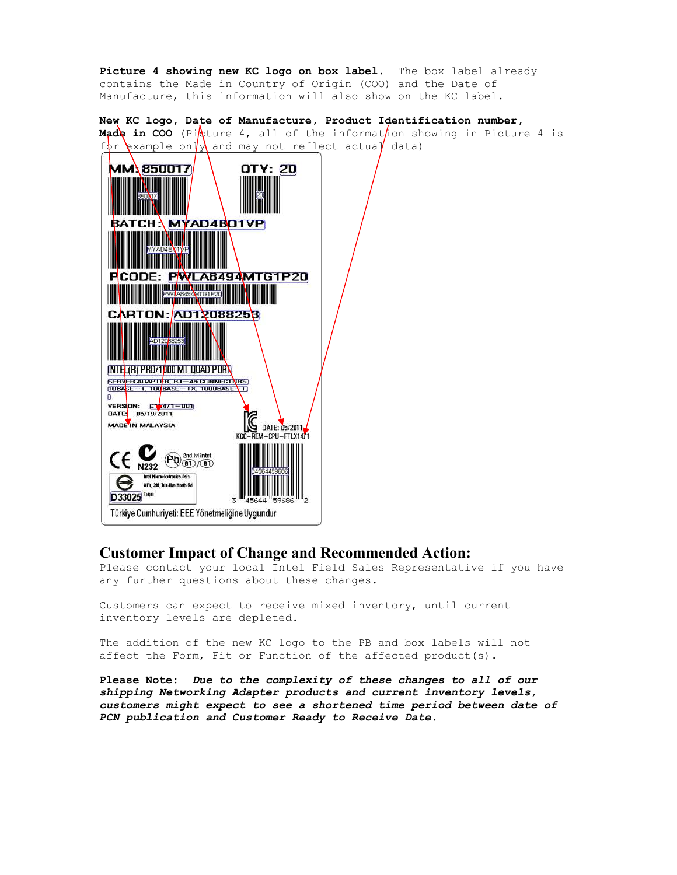**Picture 4 showing new KC logo on box label.** The box label already contains the Made in Country of Origin (COO) and the Date of Manufacture, this information will also show on the KC label.

**New KC logo, Date of Manufacture, Manufacture, Product Identification number number, Made in COO** (Picture 4, all of the informat*l*ion showing in Picture 4 is  $f$ or example on  $\psi$  and may not reflect actua $\psi$  data)



#### **Customer Impact of Change and Recommended Action:**

Please contact your local Intel Field Sales Representative if you have any further questions about these changes.

Customers can expect to receive mixed inventory, until current inventory levels are depleted.

The addition of the new KC logo to the PB and box labels will not affect the Form, Fit or Function of the affected product(s).

**Please Note:** *Due to the complexity of these changes to all of our shipping Networking Adapter products and current inventory levels, customers might expect to see a shortened time period between date of PCN publication and Customer Ready to Receive Date.*